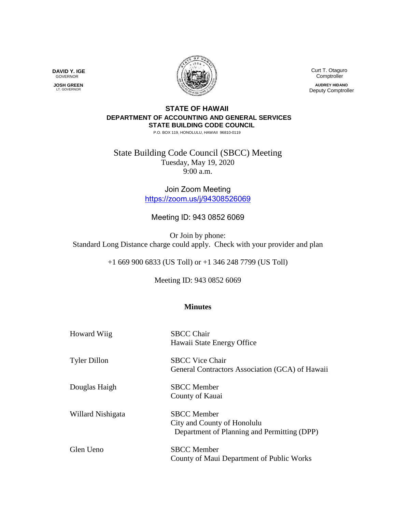

 Curt T. Otaguro Comptroller

**AUDREY HIDANO** Deputy Comptroller

## **STATE OF HAWAII DEPARTMENT OF ACCOUNTING AND GENERAL SERVICES STATE BUILDING CODE COUNCIL**

P.O. BOX 119, HONOLULU, HAWAII 96810-0119

State Building Code Council (SBCC) Meeting Tuesday, May 19, 2020 9:00 a.m.

> Join Zoom Meeting <https://zoom.us/j/94308526069>

## Meeting ID: 943 0852 6069

Or Join by phone: Standard Long Distance charge could apply. Check with your provider and plan

+1 669 900 6833 (US Toll) or +1 346 248 7799 (US Toll)

Meeting ID: 943 0852 6069

## **Minutes**

| <b>Howard Wiig</b>  | <b>SBCC Chair</b><br>Hawaii State Energy Office                                                  |
|---------------------|--------------------------------------------------------------------------------------------------|
| <b>Tyler Dillon</b> | <b>SBCC Vice Chair</b><br>General Contractors Association (GCA) of Hawaii                        |
| Douglas Haigh       | <b>SBCC</b> Member<br>County of Kauai                                                            |
| Willard Nishigata   | <b>SBCC</b> Member<br>City and County of Honolulu<br>Department of Planning and Permitting (DPP) |
| Glen Ueno           | <b>SBCC</b> Member<br>County of Maui Department of Public Works                                  |

**DAVID Y. IGE** GOVERNOR

 **JOSH GREEN** LT. GOVERNOR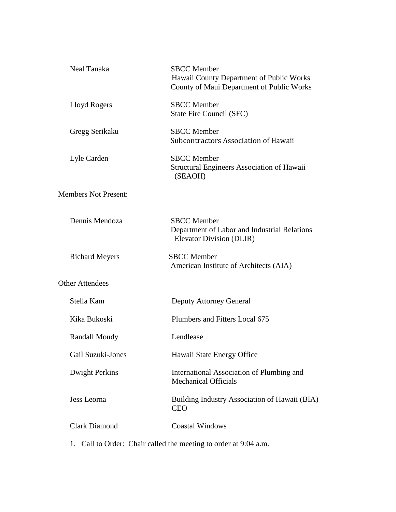| Neal Tanaka                 | <b>SBCC</b> Member<br>Hawaii County Department of Public Works<br>County of Maui Department of Public Works |
|-----------------------------|-------------------------------------------------------------------------------------------------------------|
| Lloyd Rogers                | <b>SBCC</b> Member<br>State Fire Council (SFC)                                                              |
| Gregg Serikaku              | <b>SBCC</b> Member<br>Subcontractors Association of Hawaii                                                  |
| Lyle Carden                 | <b>SBCC</b> Member<br>Structural Engineers Association of Hawaii<br>(SEAOH)                                 |
| <b>Members Not Present:</b> |                                                                                                             |
| Dennis Mendoza              | <b>SBCC</b> Member<br>Department of Labor and Industrial Relations<br>Elevator Division (DLIR)              |
| <b>Richard Meyers</b>       | <b>SBCC</b> Member<br>American Institute of Architects (AIA)                                                |
| <b>Other Attendees</b>      |                                                                                                             |
| Stella Kam                  | <b>Deputy Attorney General</b>                                                                              |
| Kika Bukoski                | Plumbers and Fitters Local 675                                                                              |
| <b>Randall Moudy</b>        | Lendlease                                                                                                   |
| Gail Suzuki-Jones           | Hawaii State Energy Office                                                                                  |
| <b>Dwight Perkins</b>       | International Association of Plumbing and<br><b>Mechanical Officials</b>                                    |
| Jess Leorna                 | Building Industry Association of Hawaii (BIA)<br><b>CEO</b>                                                 |
| <b>Clark Diamond</b>        | <b>Coastal Windows</b>                                                                                      |
|                             |                                                                                                             |

1. Call to Order: Chair called the meeting to order at 9:04 a.m.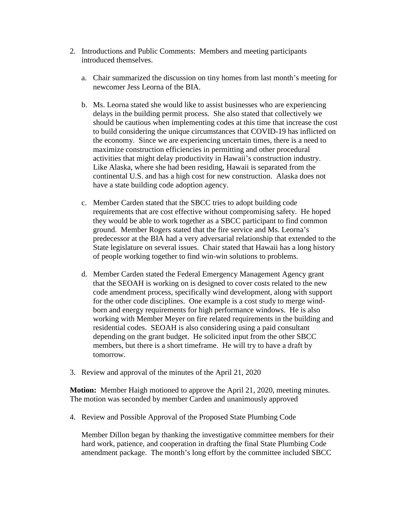- 2. Introductions and Public Comments: Members and meeting participants introduced themselves.
	- a. Chair summarized the discussion on tiny homes from last month's meeting for newcomer Jess Leorna of the BIA.
	- b. Ms. Leorna stated she would like to assist businesses who are experiencing delays in the building permit process. She also stated that collectively we should be cautious when implementing codes at this time that increase the cost to build considering the unique circumstances that COVID-19 has inflicted on the economy. Since we are experiencing uncertain times, there is a need to maximize construction efficiencies in permitting and other procedural activities that might delay productivity in Hawaii's construction industry. Like Alaska, where she had been residing, Hawaii is separated from the continental U.S. and has a high cost for new construction. Alaska does not have a state building code adoption agency.
	- c. Member Carden stated that the SBCC tries to adopt building code requirements that are cost effective without compromising safety. He hoped they would be able to work together as a SBCC participant to find common ground. Member Rogers stated that the fire service and Ms. Leorna's predecessor at the BIA had a very adversarial relationship that extended to the State legislature on several issues. Chair stated that Hawaii has a long history of people working together to find win-win solutions to problems.
	- d. Member Carden stated the Federal Emergency Management Agency grant that the SEOAH is working on is designed to cover costs related to the new code amendment process, specifically wind development, along with support for the other code disciplines. One example is a cost study to merge windborn and energy requirements for high performance windows. He is also working with Member Meyer on fire related requirements in the building and residential codes. SEOAH is also considering using a paid consultant depending on the grant budget. He solicited input from the other SBCC members, but there is a short timeframe. He will try to have a draft by tomorrow.
- 3. Review and approval of the minutes of the April 21, 2020

**Motion:** Member Haigh motioned to approve the April 21, 2020, meeting minutes. The motion was seconded by member Carden and unanimously approved

4. Review and Possible Approval of the Proposed State Plumbing Code

Member Dillon began by thanking the investigative committee members for their hard work, patience, and cooperation in drafting the final State Plumbing Code amendment package. The month's long effort by the committee included SBCC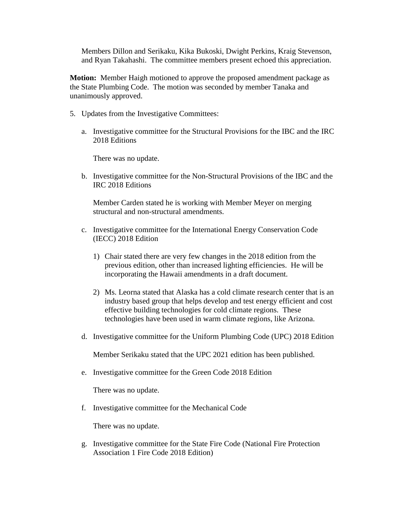Members Dillon and Serikaku, Kika Bukoski, Dwight Perkins, Kraig Stevenson, and Ryan Takahashi. The committee members present echoed this appreciation.

**Motion:** Member Haigh motioned to approve the proposed amendment package as the State Plumbing Code. The motion was seconded by member Tanaka and unanimously approved.

- 5. Updates from the Investigative Committees:
	- a. Investigative committee for the Structural Provisions for the IBC and the IRC 2018 Editions

There was no update.

b. Investigative committee for the Non-Structural Provisions of the IBC and the IRC 2018 Editions

Member Carden stated he is working with Member Meyer on merging structural and non-structural amendments.

- c. Investigative committee for the International Energy Conservation Code (IECC) 2018 Edition
	- 1) Chair stated there are very few changes in the 2018 edition from the previous edition, other than increased lighting efficiencies. He will be incorporating the Hawaii amendments in a draft document.
	- 2) Ms. Leorna stated that Alaska has a cold climate research center that is an industry based group that helps develop and test energy efficient and cost effective building technologies for cold climate regions. These technologies have been used in warm climate regions, like Arizona.
- d. Investigative committee for the Uniform Plumbing Code (UPC) 2018 Edition

Member Serikaku stated that the UPC 2021 edition has been published.

e. Investigative committee for the Green Code 2018 Edition

There was no update.

f. Investigative committee for the Mechanical Code

There was no update.

g. Investigative committee for the State Fire Code (National Fire Protection Association 1 Fire Code 2018 Edition)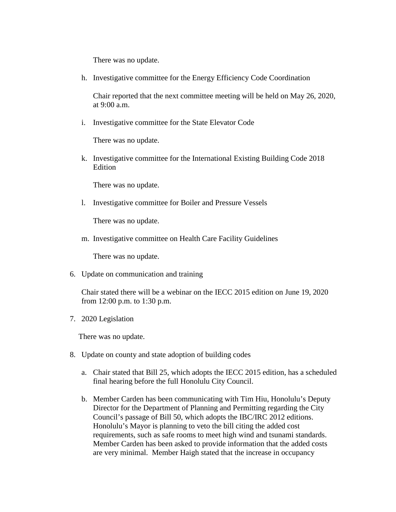There was no update.

h. Investigative committee for the Energy Efficiency Code Coordination

Chair reported that the next committee meeting will be held on May 26, 2020, at  $9:00$  a.m.

i. Investigative committee for the State Elevator Code

There was no update.

k. Investigative committee for the International Existing Building Code 2018 Edition

There was no update.

l. Investigative committee for Boiler and Pressure Vessels

There was no update.

m. Investigative committee on Health Care Facility Guidelines

There was no update.

6. Update on communication and training

Chair stated there will be a webinar on the IECC 2015 edition on June 19, 2020 from 12:00 p.m. to 1:30 p.m.

7. 2020 Legislation

There was no update.

- 8. Update on county and state adoption of building codes
	- a. Chair stated that Bill 25, which adopts the IECC 2015 edition, has a scheduled final hearing before the full Honolulu City Council.
	- b. Member Carden has been communicating with Tim Hiu, Honolulu's Deputy Director for the Department of Planning and Permitting regarding the City Council's passage of Bill 50, which adopts the IBC/IRC 2012 editions. Honolulu's Mayor is planning to veto the bill citing the added cost requirements, such as safe rooms to meet high wind and tsunami standards. Member Carden has been asked to provide information that the added costs are very minimal. Member Haigh stated that the increase in occupancy